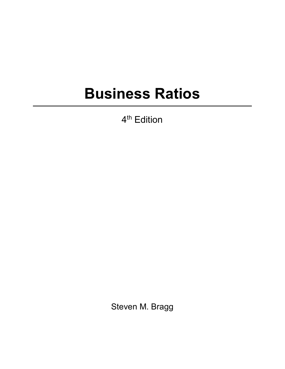## **Business Ratios**

4<sup>th</sup> Edition

Steven M. Bragg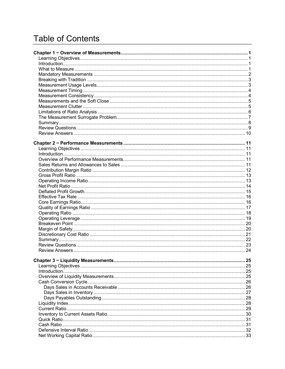## **Table of Contents**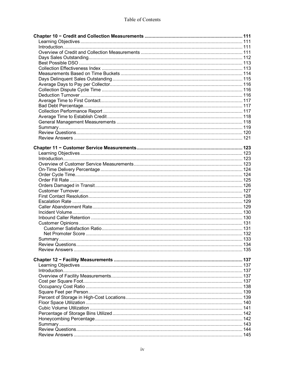| 145 |  |
|-----|--|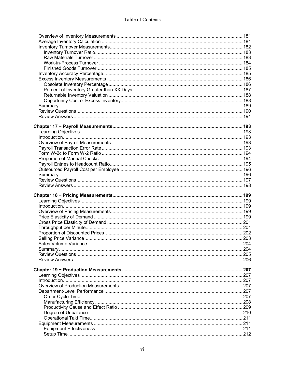| 204  |
|------|
|      |
|      |
|      |
|      |
| 207  |
|      |
|      |
|      |
|      |
|      |
| .208 |
|      |
|      |
|      |
|      |
|      |